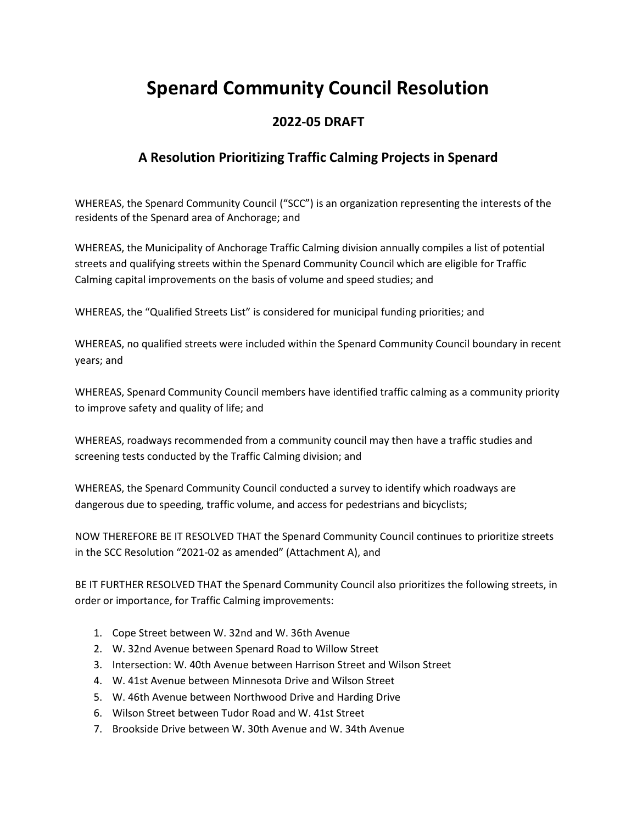# **Spenard Community Council Resolution**

### **2022-05 DRAFT**

## **A Resolution Prioritizing Traffic Calming Projects in Spenard**

WHEREAS, the Spenard Community Council ("SCC") is an organization representing the interests of the residents of the Spenard area of Anchorage; and

WHEREAS, the Municipality of Anchorage Traffic Calming division annually compiles a list of potential streets and qualifying streets within the Spenard Community Council which are eligible for Traffic Calming capital improvements on the basis of volume and speed studies; and

WHEREAS, the "Qualified Streets List" is considered for municipal funding priorities; and

WHEREAS, no qualified streets were included within the Spenard Community Council boundary in recent years; and

WHEREAS, Spenard Community Council members have identified traffic calming as a community priority to improve safety and quality of life; and

WHEREAS, roadways recommended from a community council may then have a traffic studies and screening tests conducted by the Traffic Calming division; and

WHEREAS, the Spenard Community Council conducted a survey to identify which roadways are dangerous due to speeding, traffic volume, and access for pedestrians and bicyclists;

NOW THEREFORE BE IT RESOLVED THAT the Spenard Community Council continues to prioritize streets in the SCC Resolution "2021-02 as amended" (Attachment A), and

BE IT FURTHER RESOLVED THAT the Spenard Community Council also prioritizes the following streets, in order or importance, for Traffic Calming improvements:

- 1. Cope Street between W. 32nd and W. 36th Avenue
- 2. W. 32nd Avenue between Spenard Road to Willow Street
- 3. Intersection: W. 40th Avenue between Harrison Street and Wilson Street
- 4. W. 41st Avenue between Minnesota Drive and Wilson Street
- 5. W. 46th Avenue between Northwood Drive and Harding Drive
- 6. Wilson Street between Tudor Road and W. 41st Street
- 7. Brookside Drive between W. 30th Avenue and W. 34th Avenue